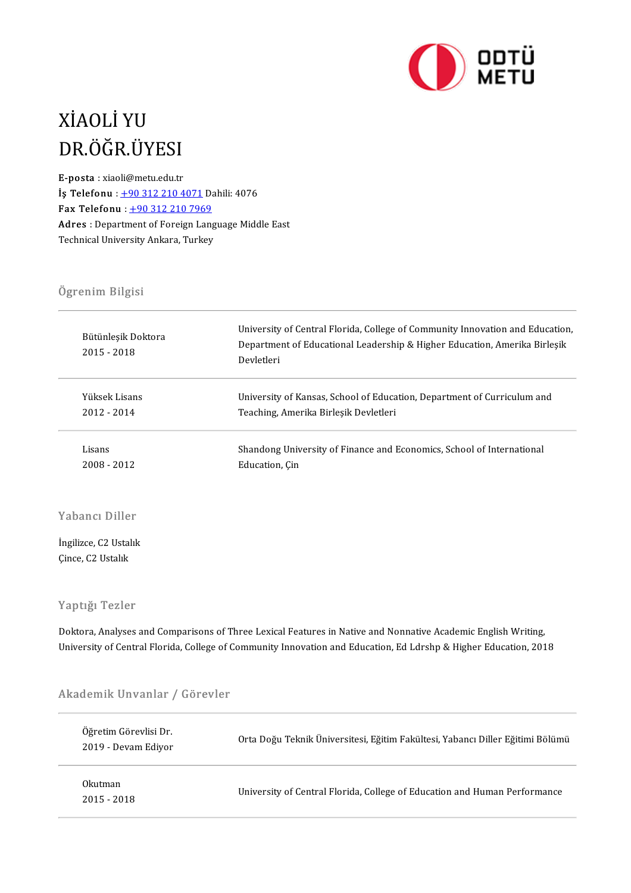

# XİAOLİYU XİAOLİ YU<br>DR.ÖĞR.ÜYESI<br>E-posta : xiaoli@metu.edu.tr DR.ÖĞR.ÜYESI<br>E-posta : xiaoli@metu.edu.tr<br><sup>Is Teleforu : 199,212,210,4</sup>

E-posta : xiaoli@metu.edu.tr<br> **İş Telefonu** :  $+903122104071$  Dahili: 4076 Fax Telefonu : +90 312 210 7969 İş Telefonu : <u>+90 312 210 4071</u> Dahili: 4076<br>Fax Telefonu : <u>+90 312 210 7969</u><br>Adres : Department of Foreign Language Middle East<br>Technical University Ankara, Turkey Fax Telefonu : <u>+90 312 210 7969</u><br>Adres : Department of Foreign Lang<br>Technical University Ankara, Turkey Technical University Ankara, Turkey<br>Ögrenim Bilgisi

| University of Central Florida, College of Community Innovation and Education,<br>Department of Educational Leadership & Higher Education, Amerika Birlesik<br>Devletleri |
|--------------------------------------------------------------------------------------------------------------------------------------------------------------------------|
| University of Kansas, School of Education, Department of Curriculum and                                                                                                  |
| Teaching, Amerika Birlesik Devletleri                                                                                                                                    |
| Shandong University of Finance and Economics, School of International                                                                                                    |
| Education, Cin                                                                                                                                                           |
|                                                                                                                                                                          |

# .<br>Yabancı Diller

Yabancı Diller<br>İngilizce, C2 Ustalık<br>Gince, C2 Ustalık İngilizce, C2 Ustalık<br>Çince, C2 Ustalık

### Yaptığı Tezler

Yaptığı Tezler<br>Doktora, Analyses and Comparisons of Three Lexical Features in Native and Nonnative Academic English Writing,<br>University of Control Flarida, Collage of Community Innovation and Education, Ed Larsha & Higher Tuptigt Tenter<br>Doktora, Analyses and Comparisons of Three Lexical Features in Native and Nonnative Academic English Writing,<br>University of Central Florida, College of Community Innovation and Education, Ed Ldrshp & Higher

# oniversity of tentral riorida, tonege of t<br>Akademik Unvanlar / Görevler

| Akademik Unvanlar / Görevler                 |                                                                                |
|----------------------------------------------|--------------------------------------------------------------------------------|
| Öğretim Görevlisi Dr.<br>2019 - Devam Edivor | Orta Doğu Teknik Üniversitesi, Eğitim Fakültesi, Yabancı Diller Eğitimi Bölümü |
| Okutman<br>$2015 - 2018$                     | University of Central Florida, College of Education and Human Performance      |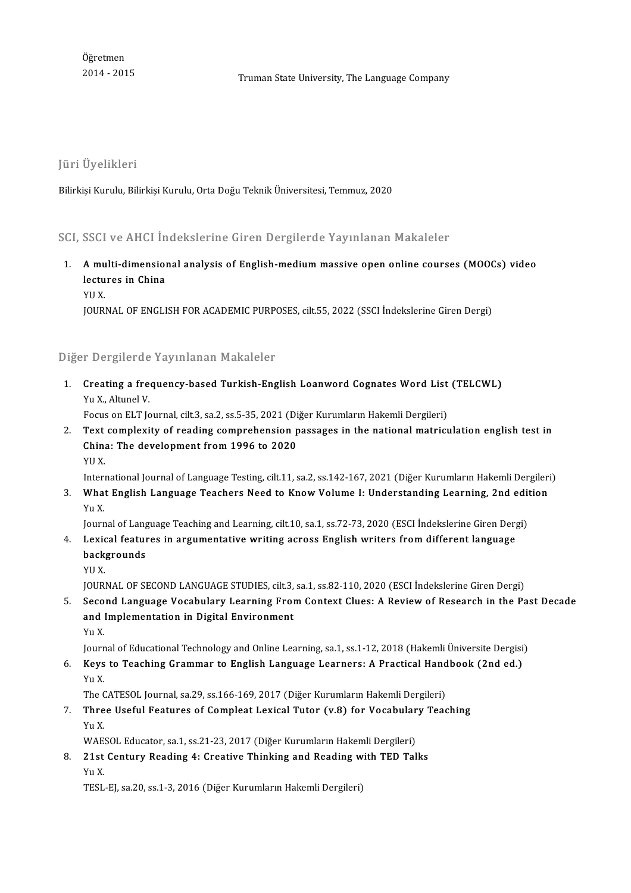Öğretmen<br>2014 - 2015

JüriÜyelikleri

Bilirkişi Kurulu, Bilirkişi Kurulu, Orta Doğu Teknik Üniversitesi, Temmuz, 2020

Bilirkişi Kurulu, Bilirkişi Kurulu, Orta Doğu Teknik Oniversitesi, Temmuz, 2020<br>SCI, SSCI ve AHCI İndekslerine Giren Dergilerde Yayınlanan Makaleler

- 1. SSCI ve AHCI İndekslerine Giren Dergilerde Yayınlanan Makaleler<br>1. Amulti-dimensional analysis of English-medium massive open online courses (MOOCs) video boor ve rrrea rii<br>A multi-dimension<br>lectures in China<br>vu v **A mu<br>lectu<br>YU X.**<br>IOUP! lectures in China<br>YU X.<br>JOURNAL OF ENGLISH FOR ACADEMIC PURPOSES, cilt.55, 2022 (SSCI İndekslerine Giren Dergi)
	-

Diğer Dergilerde Yayınlanan Makaleler

)iğer Dergilerde Yayınlanan Makaleler<br>1. Creating a frequency-based Turkish-English Loanword Cognates Word List (TELCWL)<br>Yu Yulturel V *Yux.*<br>Creating a free<br>Yu X., Altunel V.<br>Focus on El T. Jo Creating a frequency-based Turkish-English Loanword Cognates Word List<br>Yu X., Altunel V.<br>Focus on ELT Journal, cilt.3, sa.2, ss.5-35, 2021 (Diğer Kurumların Hakemli Dergileri)<br>Text complexity of reading comprehension nessa

Yu X., Altunel V.<br>2. Text complexity of reading comprehension passages in the national matriculation english test in<br>2. Text complexity of reading comprehension passages in the national matriculation english test in<br>6. Chi Focus on ELT Journal, cilt.3, sa.2, ss.5-35, 2021 (Di<br>Text complexity of reading comprehension p<br>China: The development from 1996 to 2020<br>VU V Text<br>China<br>YU X.<br>Intern China: The development from 1996 to 2020<br>International Journal of Language Testing, cilt.11, sa.2, ss.142-167, 2021 (Diğer Kurumların Hakemli Dergileri)

3. YU X.<br>19 International Journal of Language Testing, cilt.11, sa.2, ss.142-167, 2021 (Diğer Kurumların Hakemli Dergileri<br>3. What English Language Teachers Need to Know Volume I: Understanding Learning, 2nd edition<br>3. Interi<br><mark>Wha</mark><br>Yu X.<br>Jourr What English Language Teachers Need to Know Volume I: Understanding Learning, 2nd edit<br>Yu X.<br>Journal of Language Teaching and Learning, cilt.10, sa.1, ss.72-73, 2020 (ESCI İndekslerine Giren Dergi)<br>Lovisal features in argu

- Yu X.<br>Journal of Language Teaching and Learning, cilt.10, sa.1, ss.72-73, 2020 (ESCI İndekslerine Giren Derg<br>4. Lexical features in argumentative writing across English writers from different language<br>backgrounds Journal of Lang<br><mark>Lexical featur</mark><br>backgrounds<br><sup>VII V</sup> Lexic<br>back<br>YU X.<br>IOUR! ba<mark>ckgrounds</mark><br>YU X.<br>JOURNAL OF SECOND LANGUAGE STUDIES, cilt.3, sa.1, ss.82-110, 2020 (ESCI İndekslerine Giren Dergi)<br>Second Language Vesabularu Learning From Context Clues: A Bexiew of Besearsh in the Be
	-

5. YU X.<br>1000 JOURNAL OF SECOND LANGUAGE STUDIES, cilt.3, sa.1, ss.82-110, 2020 (ESCI Indekslerine Giren Dergi<br>1. Second Language Vocabulary Learning From Context Clues: A Review of Research in the Past Decade JOURNAL OF SECOND LANGUAGE STUDIES, cilt.3,<br>Second Language Vocabulary Learning Froi<br>and Implementation in Digital Environment<br><sub>Vu</sub> v and Implementation in Digital Environment<br>Yu X. a<mark>nd Implementation in Digital Environment</mark><br>Yu X.<br>Journal of Educational Technology and Online Learning, sa.1, ss.1-12, 2018 (Hakemli Üniversite Dergisi)<br>Kovs te Teaching Crammar te English Language Learners: A Prastisal H

6. Keys to Teaching Grammar to English Language Learners: A Practical Handbook (2nd ed.) Journ<br><mark>Keys</mark><br>Yu X.<br>The C Keys to Teaching Grammar to English Language Learners: A Practical Hand<br>Yu X.<br>The CATESOL Journal, sa.29, ss.166-169, 2017 (Diğer Kurumların Hakemli Dergileri)<br>Three Heefyl Features of Complect Levisel Tuter (v.8) for Vese

7. Three Useful Features of Compleat Lexical Tutor (v.8) for Vocabulary Teaching The C<br><mark>Thre</mark><br>Yu X.<br>WAE Three Useful Features of Compleat Lexical Tutor (v.8) for Vocabular<br>Yu X.<br>WAESOL Educator, sa.1, ss.21-23, 2017 (Diğer Kurumların Hakemli Dergileri)<br>21st Contuny Booding 4: Creative Thinking and Booding with TED Tel 9. 21 Yu X.<br>WAESOL Educator, sa.1, ss.21-23, 2017 (Diğer Kurumların Hakemli Dergileri)<br>8. 21st Century Reading 4: Creative Thinking and Reading with TED Talks

YuX.

TESL-EJ, sa.20, ss.1-3, 2016 (Diğer Kurumların Hakemli Dergileri)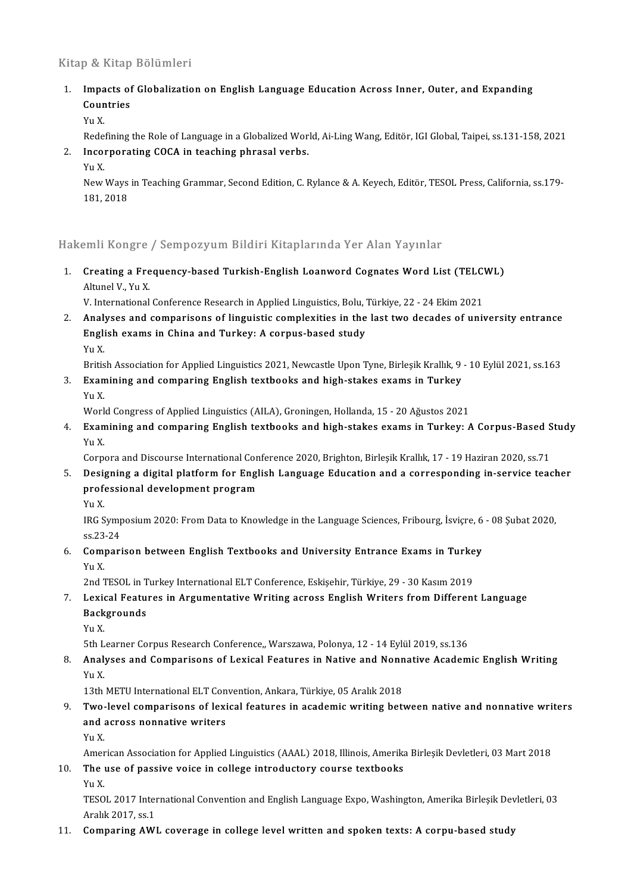### Kitap & Kitap Bölümleri

Xitap & Kitap Bölümleri<br>1. Impacts of Globalization on English Language Education Across Inner, Outer, and Expanding<br>Countries Impacts of<br>Countries<br>V<sub>11</sub> V Impa<br>Coun<br>Yu X.<br><sup>Rede</sup> Countries<br>Yu X.<br>Redefining the Role of Language in a Globalized World, Ai-Ling Wang, Editör, IGI Global, Taipei, ss.131-158, 2021

## Yu X.<br>Redefining the Role of Language in a Globalized Work<br>2. Incorporating COCA in teaching phrasal verbs.<br>V.v Y. Rede<br>I<mark>nco</mark><br>Yu X.<br>Nov.

Incorporating COCA in teaching phrasal verbs.<br>Yu X.<br>New Ways in Teaching Grammar, Second Edition, C. Rylance & A. Keyech, Editör, TESOL Press, California, ss.179-Yu X.<br>New Ways<br>181, 2018

# 181, 2018<br>Hakemli Kongre / Sempozyum Bildiri Kitaplarında Yer Alan Yayınlar

Iakemli Kongre / Sempozyum Bildiri Kitaplarında Yer Alan Yayınlar<br>1. Creating a Frequency-based Turkish-English Loanword Cognates Word List (TELCWL)<br>Altunel V. Yu Y Altunelvergreich<br>Creating a Fre<br>Altunel V., Yu X.<br>V. International Creating a Frequency-based Turkish-English Loanword Cognates Word List (TELC)<br>Altunel V., Yu X.<br>V. International Conference Research in Applied Linguistics, Bolu, Türkiye, 22 - 24 Ekim 2021<br>Analyses and comparisons of ling

2. Altunel V., Yu X.<br>2. V. International Conference Research in Applied Linguistics, Bolu, Türkiye, 22 - 24 Ekim 2021<br>2. Analyses and comparisons of linguistic complexities in the last two decades of university entrance V. International Conference Research in Applied Linguistics, Bolu, '<br>Analyses and comparisons of linguistic complexities in the<br>English exams in China and Turkey: A corpus-based study<br><sub>Vu</sub> v <mark>Anal</mark><br>Engli<br>Yu X.<br><sup>Pritio</sup> English exams in China and Turkey: A corpus-based study<br>Yu X.<br>British Association for Applied Linguistics 2021, Newcastle Upon Tyne, Birleşik Krallık, 9 - 10 Eylül 2021, ss.163

3. Yu X.<br>3. Examining and comparing English textbooks and high-stakes exams in Turkey<br>3. Examining and comparing English textbooks and high-stakes exams in Turkey<br>V. Y Britis<br>**Exan**<br>Yu X.<br>Werl Examining and comparing English textbooks and high-stakes exams in Turkey<br>Yu X.<br>World Congress of Applied Linguistics (AILA), Groningen, Hollanda, 15 - 20 Ağustos 2021<br>Evamining and companing English textbooks and high sta

Yu X.<br>World Congress of Applied Linguistics (AILA), Groningen, Hollanda, 15 - 20 Ağustos 2021<br>4. Examining and comparing English textbooks and high-stakes exams in Turkey: A Corpus-Based Study<br>Vu Y Worl<br><mark>Exan</mark><br>Yu X.<br>Garn Examining and comparing English textbooks and high-stakes exams in Turkey: A Corpus-Based S<br>Yu X.<br>Corpora and Discourse International Conference 2020, Brighton, Birleşik Krallık, 17 - 19 Haziran 2020, ss.71<br>Designing a dig

Yu X.<br>6. Corpora and Discourse International Conference 2020, Brighton, Birleşik Krallık, 17 - 19 Haziran 2020, ss.<br>5. Designing a digital platform for English Language Education and a corresponding in-service teacher<br>5. D Corpora and Discourse International Con<br>Designing a digital platform for Engl<br>professional development program<br><sub>Yu</sub> y **Desi<br>prof**<br>Yu X.<br>IPC.S

professional development program<br>Yu X.<br>IRG Symposium 2020: From Data to Knowledge in the Language Sciences, Fribourg, İsviçre, 6 - 08 Şubat 2020,<br>SS 22 24 Yu X<br>IRG Symp<br>ss.23-24<br>Compari IRG Symposium 2020: From Data to Knowledge in the Language Sciences, Fribourg, İsviçre, 6<br>ss.23-24<br>6. Comparison between English Textbooks and University Entrance Exams in Turkey<br>y., y

## ss 23<br>**Com**<br>Yu X.<br>2nd 7 Comparison between English Textbooks and University Entrance Exams in Turke<br>Yu X.<br>2nd TESOL in Turkey International ELT Conference, Eskişehir, Türkiye, 29 - 30 Kasım 2019<br>Lavisal Esstunes in Argumentative Writing asress En

## Yu X.<br>2nd TESOL in Turkey International ELT Conference, Eskişehir, Türkiye, 29 - 30 Kasım 2019<br>7. Lexical Features in Argumentative Writing across English Writers from Different Language<br>Reckspounds 2nd TESOL in T<br>Lexical Featu:<br>Backgrounds<br><sub>Vu</sub> v Lexie<br>Back<br>Yu X. Backgrounds<br>Yu X.<br>5th Learner Corpus Research Conference,, Warszawa, Polonya, 12 - 14 Eylül 2019, ss.136<br>Analyses and Companisons of Lavisal Eastunes in Native and Nappative Asadam

## 9. Yu X.<br>5th Learner Corpus Research Conference,, Warszawa, Polonya, 12 - 14 Eylül 2019, ss.136<br>8. Analyses and Comparisons of Lexical Features in Native and Nonnative Academic English Writing<br>Yu X. 5th L<br>**Anal**<br>Yu X.<br>12th Analyses and Comparisons of Lexical Features in Native and Nonn<br>Yu X.<br>13th METU International ELT Convention, Ankara, Türkiye, 05 Aralık 2018<br>Ture Javal composisons of Javisal features in asademis uniting bett

## Yu X.<br>13th METU International ELT Convention, Ankara, Türkiye, 05 Aralık 2018<br>9. Two-level comparisons of lexical features in academic writing between native and nonnative writers<br>and across nonnative writers 13th METU International ELT Con<br>Two-level comparisons of lexi<br>and across nonnative writers<br><sub>Vu</sub> v Two<br>and<br>Yu X.<br>Amer a<mark>nd across nonnative writers</mark><br>Yu X.<br>American Association for Applied Linguistics (AAAL) 2018, Illinois, Amerika Birleşik Devletleri, 03 Mart 2018<br>The use of nassive voise in sellege introductory, seures teythooks.

Amer<br>**The**<br>Yu X.<br>TESO

# 10. Yu X.<br>American Association for Applied Linguistics (AAAL) 2018, Illinois, Amerika<br>10. The use of passive voice in college introductory course textbooks<br>10. Yu X.

The use of passive voice in college introductory course textbooks<br>Yu X.<br>TESOL 2017 International Convention and English Language Expo, Washington, Amerika Birleşik Devletleri, 03<br>Aralık 2017-es 1 Yu X.<br>TESOL 2017 Inter<br>Aralık 2017, ss.1<br>Comparing AW! 11. TESOL 2017 International Convention and English Language Expo, Washington, Amerika Birleşik Dev<br>Aralık 2017, ss.1<br>11. Comparing AWL coverage in college level written and spoken texts: A corpu-based study